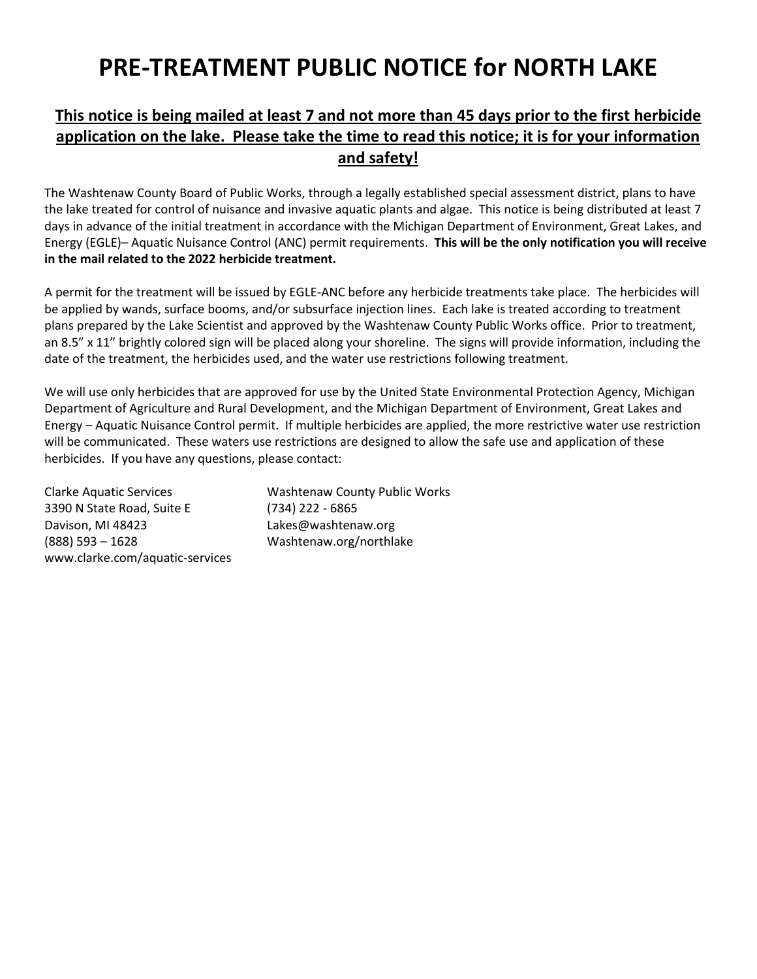## **PRE-TREATMENT PUBLIC NOTICE for NORTH LAKE**

## **This notice is being mailed at least 7 and not more than 45 days prior to the first herbicide application on the lake. Please take the time to read this notice; it is for your information and safety!**

The Washtenaw County Board of Public Works, through a legally established special assessment district, plans to have the lake treated for control of nuisance and invasive aquatic plants and algae. This notice is being distributed at least 7 days in advance of the initial treatment in accordance with the Michigan Department of Environment, Great Lakes, and Energy (EGLE)– Aquatic Nuisance Control (ANC) permit requirements. **This will be the only notification you will receive in the mail related to the 2022 herbicide treatment.** 

A permit for the treatment will be issued by EGLE-ANC before any herbicide treatments take place. The herbicides will be applied by wands, surface booms, and/or subsurface injection lines. Each lake is treated according to treatment plans prepared by the Lake Scientist and approved by the Washtenaw County Public Works office. Prior to treatment, an 8.5" x 11" brightly colored sign will be placed along your shoreline. The signs will provide information, including the date of the treatment, the herbicides used, and the water use restrictions following treatment.

We will use only herbicides that are approved for use by the United State Environmental Protection Agency, Michigan Department of Agriculture and Rural Development, and the Michigan Department of Environment, Great Lakes and Energy – Aquatic Nuisance Control permit. If multiple herbicides are applied, the more restrictive water use restriction will be communicated. These waters use restrictions are designed to allow the safe use and application of these herbicides. If you have any questions, please contact:

3390 N State Road, Suite E (734) 222 - 6865 Davison, MI 48423 Lakes@washtenaw.org (888) 593 – 1628 Washtenaw.org/northlake www.clarke.com/aquatic-services

Clarke Aquatic Services Washtenaw County Public Works